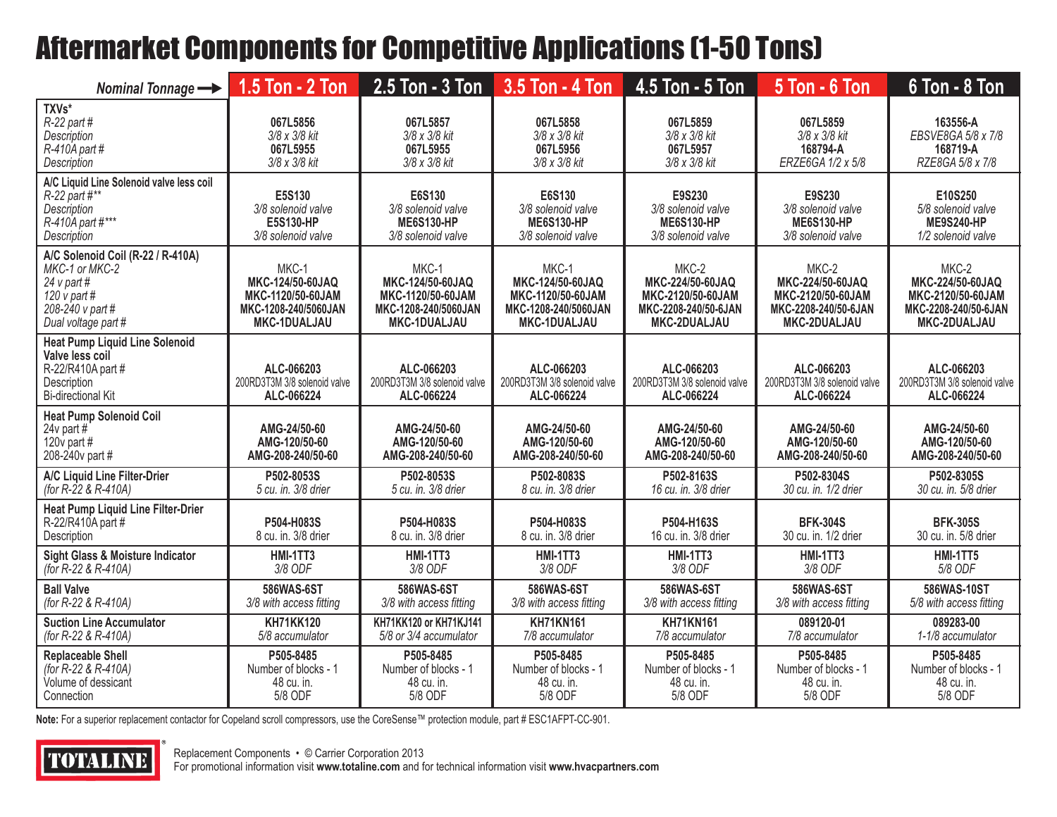## Aftermarket Components for Competitive Applications (1-50 Tons)

| Nominal Tonnage $\longrightarrow$                                                                                                 | 1.5 Ton - 2 Ton                                                                               | $2.5$ Ton - $3$ Ton                                                                           | 3.5 Ton - 4 Ton                                                                               | 4.5 Ton - 5 Ton                                                                                                                                    | <b>5 Ton - 6 Ton</b>                                                                   | $6$ Ton - $8$ Ton                                                                      |
|-----------------------------------------------------------------------------------------------------------------------------------|-----------------------------------------------------------------------------------------------|-----------------------------------------------------------------------------------------------|-----------------------------------------------------------------------------------------------|----------------------------------------------------------------------------------------------------------------------------------------------------|----------------------------------------------------------------------------------------|----------------------------------------------------------------------------------------|
| TXVs*<br>$R-22$ part #<br>Description<br>$R-410A$ part #<br><b>Description</b>                                                    | 067L5856<br>3/8 x 3/8 kit<br>067L5955<br>3/8 x 3/8 kit                                        | 067L5857<br>3/8 x 3/8 kit<br>067L5955<br>3/8 x 3/8 kit                                        | 067L5858<br>3/8 x 3/8 kit<br>067L5956<br>3/8 x 3/8 kit                                        | 067L5859<br>3/8 x 3/8 kit<br>067L5957<br>3/8 x 3/8 kit                                                                                             | 067L5859<br>3/8 x 3/8 kit<br>168794-A<br>ERZE6GA 1/2 x 5/8                             | 163556-A<br>EBSVE8GA 5/8 x 7/8<br>168719-A<br>RZE8GA 5/8 x 7/8                         |
| A/C Liquid Line Solenoid valve less coil<br>$R-22$ part #**<br>Description<br>R-410A part #***<br><b>Description</b>              | E5S130<br>3/8 solenoid valve<br>E5S130-HP<br>3/8 solenoid valve                               | E6S130<br>3/8 solenoid valve<br><b>ME6S130-HP</b><br>3/8 solenoid valve                       | E6S130<br>3/8 solenoid valve<br><b>ME6S130-HP</b><br>3/8 solenoid valve                       | E9S230<br>E9S230<br>3/8 solenoid valve<br>3/8 solenoid valve<br><b>ME6S130-HP</b><br><b>ME6S130-HP</b><br>3/8 solenoid valve<br>3/8 solenoid valve |                                                                                        | E10S250<br>5/8 solenoid valve<br><b>ME9S240-HP</b><br>1/2 solenoid valve               |
| A/C Solenoid Coil (R-22 / R-410A)<br>MKC-1 or MKC-2<br>24 $v$ part #<br>120 $v$ part #<br>208-240 v part #<br>Dual voltage part # | MKC-1<br>MKC-124/50-60JAQ<br>MKC-1120/50-60JAM<br>MKC-1208-240/5060JAN<br><b>MKC-1DUALJAU</b> | MKC-1<br>MKC-124/50-60JAQ<br>MKC-1120/50-60JAM<br>MKC-1208-240/5060JAN<br><b>MKC-1DUALJAU</b> | MKC-1<br>MKC-124/50-60JAQ<br>MKC-1120/50-60JAM<br>MKC-1208-240/5060JAN<br><b>MKC-1DUALJAU</b> | MKC-2<br>MKC-224/50-60JAQ<br>MKC-2120/50-60JAM<br>MKC-2208-240/50-6JAN<br>MKC-2DUALJAU                                                             | MKC-2<br>MKC-224/50-60JAQ<br>MKC-2120/50-60JAM<br>MKC-2208-240/50-6JAN<br>MKC-2DUALJAU | MKC-2<br>MKC-224/50-60JAQ<br>MKC-2120/50-60JAM<br>MKC-2208-240/50-6JAN<br>MKC-2DUALJAU |
| <b>Heat Pump Liquid Line Solenoid</b><br>Valve less coil<br>R-22/R410A part #<br>Description<br><b>Bi-directional Kit</b>         | ALC-066203<br>200RD3T3M 3/8 solenoid valve<br>ALC-066224                                      | ALC-066203<br>200RD3T3M 3/8 solenoid valve<br>ALC-066224                                      | ALC-066203<br>200RD3T3M 3/8 solenoid valve<br>ALC-066224                                      | ALC-066203<br>200RD3T3M 3/8 solenoid valve<br>ALC-066224                                                                                           | ALC-066203<br>200RD3T3M 3/8 solenoid valve<br>ALC-066224                               | ALC-066203<br>200RD3T3M 3/8 solenoid valve<br>ALC-066224                               |
| <b>Heat Pump Solenoid Coil</b><br>24 $v$ part #<br>120 $v$ part #<br>208-240v part #                                              | AMG-24/50-60<br>AMG-120/50-60<br>AMG-208-240/50-60                                            | AMG-24/50-60<br>AMG-120/50-60<br>AMG-208-240/50-60                                            | AMG-24/50-60<br>AMG-120/50-60<br>AMG-208-240/50-60                                            | AMG-24/50-60<br>AMG-120/50-60<br>AMG-208-240/50-60                                                                                                 | AMG-24/50-60<br>AMG-120/50-60<br>AMG-208-240/50-60                                     | AMG-24/50-60<br>AMG-120/50-60<br>AMG-208-240/50-60                                     |
| A/C Liquid Line Filter-Drier<br>(for $R-22$ & $R-410A$ )                                                                          | P502-8053S<br>5 cu. in. 3/8 drier                                                             | P502-8053S<br>5 cu. in. 3/8 drier                                                             | P502-8083S<br>8 cu. in. 3/8 drier                                                             | P502-8163S<br>16 cu. in. 3/8 drier                                                                                                                 | P502-8304S<br>30 cu. in. 1/2 drier                                                     | P502-8305S<br>30 cu. in. 5/8 drier                                                     |
| <b>Heat Pump Liquid Line Filter-Drier</b><br>R-22/R410A part #<br>Description                                                     | P504-H083S<br>8 cu. in. 3/8 drier                                                             | P504-H083S<br>8 cu. in. 3/8 drier                                                             | P504-H083S<br>8 cu. in. 3/8 drier                                                             | P504-H163S<br>16 cu. in. 3/8 drier                                                                                                                 | <b>BFK-304S</b><br>30 cu. in. 1/2 drier                                                | <b>BFK-305S</b><br>30 cu. in. 5/8 drier                                                |
| Sight Glass & Moisture Indicator<br>(for R-22 & R-410A)                                                                           | <b>HMI-1TT3</b><br>3/8 ODF                                                                    | <b>HMI-1TT3</b><br>3/8 ODF                                                                    | HMI-1TT3<br>3/8 ODF                                                                           | <b>HMI-1TT3</b><br>3/8 ODF                                                                                                                         | <b>HMI-1TT3</b><br>3/8 ODF                                                             | <b>HMI-1TT5</b><br>5/8 ODF                                                             |
| <b>Ball Valve</b><br>(for R-22 & R-410A)                                                                                          | 586WAS-6ST<br>3/8 with access fitting                                                         | 586WAS-6ST<br>3/8 with access fitting                                                         | 586WAS-6ST<br>3/8 with access fitting                                                         | 586WAS-6ST<br>3/8 with access fitting                                                                                                              | 586WAS-6ST<br>3/8 with access fitting                                                  | 586WAS-10ST<br>5/8 with access fitting                                                 |
| <b>Suction Line Accumulator</b><br>(for R-22 & R-410A)                                                                            | <b>KH71KK120</b><br>5/8 accumulator                                                           | KH71KK120 or KH71KJ141<br>5/8 or 3/4 accumulator                                              | <b>KH71KN161</b><br>7/8 accumulator                                                           | <b>KH71KN161</b><br>7/8 accumulator                                                                                                                | 089120-01<br>7/8 accumulator                                                           | 089283-00<br>1-1/8 accumulator                                                         |
| <b>Replaceable Shell</b><br>(for R-22 & R-410A)<br>Volume of dessicant<br>Connection                                              | P505-8485<br>Number of blocks - 1<br>48 cu. in.<br>5/8 ODF                                    | P505-8485<br>Number of blocks - 1<br>48 cu. in.<br>5/8 ODF                                    | P505-8485<br>Number of blocks - 1<br>48 cu. in.<br>5/8 ODF                                    | P505-8485<br>Number of blocks - 1<br>48 cu. in.<br>5/8 ODF                                                                                         | P505-8485<br>Number of blocks - 1<br>48 cu. in.<br>5/8 ODF                             | P505-8485<br>Number of blocks - 1<br>48 cu. in.<br>5/8 ODF                             |

**Note:** For a superior replacement contactor for Copeland scroll compressors, use the CoreSense™ protection module, part # ESC1AFPT-CC-901.